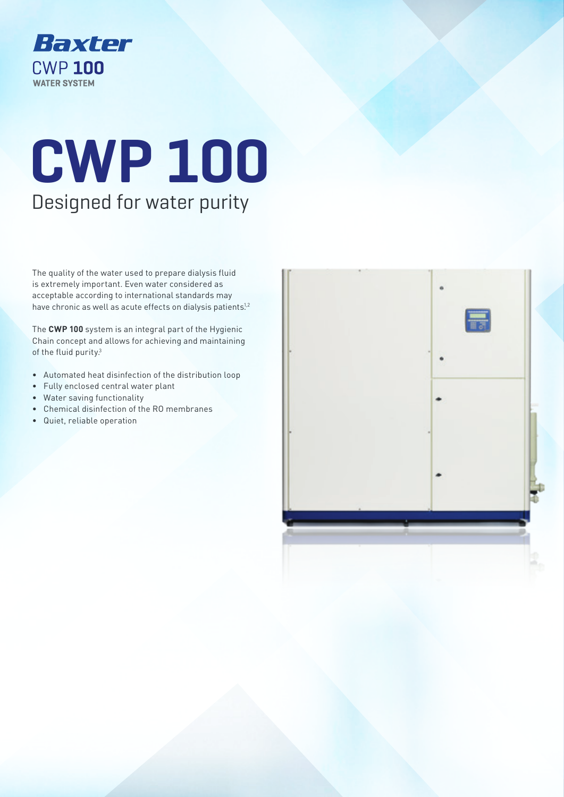

# **CWP 100** Designed for water purity

The quality of the water used to prepare dialysis fluid is extremely important. Even water considered as acceptable according to international standards may have chronic as well as acute effects on dialysis patients.<sup>1,2</sup>

The **CWP 100** system is an integral part of the Hygienic Chain concept and allows for achieving and maintaining of the fluid purity.<sup>3</sup>

- Automated heat disinfection of the distribution loop
- Fully enclosed central water plant
- Water saving functionality
- Chemical disinfection of the RO membranes
- Quiet, reliable operation